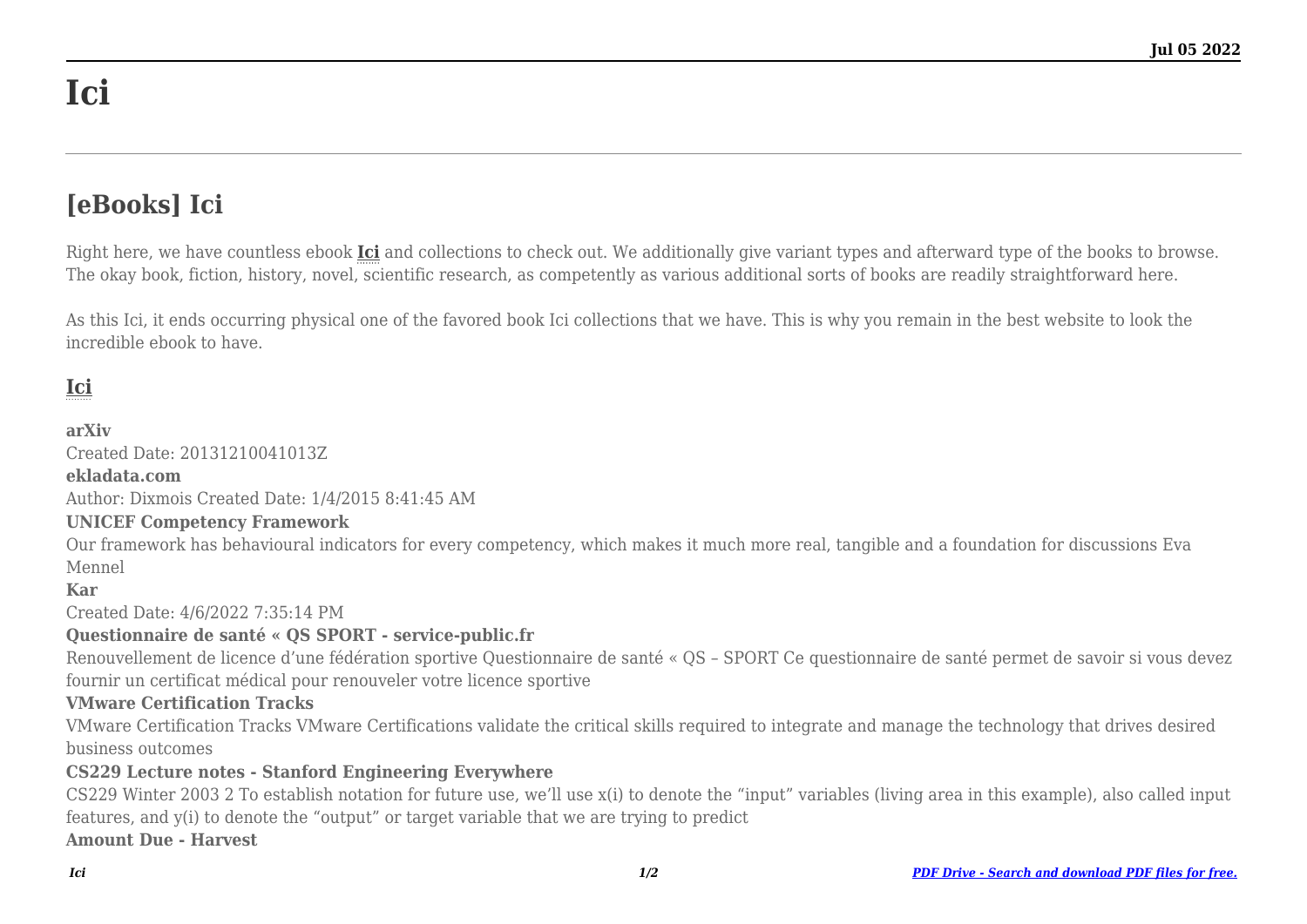# **Ici**

## **[eBooks] Ici**

Right here, we have countless ebook **[Ici](http://goldwoodgardens.com)** and collections to check out. We additionally give variant types and afterward type of the books to browse. The okay book, fiction, history, novel, scientific research, as competently as various additional sorts of books are readily straightforward here.

As this Ici, it ends occurring physical one of the favored book Ici collections that we have. This is why you remain in the best website to look the incredible ebook to have.

### **[Ici](http://goldwoodgardens.com/Ici.pdf)**

#### **arXiv**

Created Date: 20131210041013Z

#### **ekladata.com**

Author: Dixmois Created Date: 1/4/2015 8:41:45 AM

#### **UNICEF Competency Framework**

Our framework has behavioural indicators for every competency, which makes it much more real, tangible and a foundation for discussions Eva Mennel

#### **Kar**

Created Date: 4/6/2022 7:35:14 PM

#### **Questionnaire de santé « QS SPORT - service-public.fr**

Renouvellement de licence d'une fédération sportive Questionnaire de santé « QS – SPORT Ce questionnaire de santé permet de savoir si vous devez fournir un certificat médical pour renouveler votre licence sportive

#### **VMware Certification Tracks**

VMware Certification Tracks VMware Certifications validate the critical skills required to integrate and manage the technology that drives desired business outcomes

#### **CS229 Lecture notes - Stanford Engineering Everywhere**

CS229 Winter 2003 2 To establish notation for future use, we'll use x(i) to denote the "input" variables (living area in this example), also called input features, and y(i) to denote the "output" or target variable that we are trying to predict **Amount Due - Harvest**